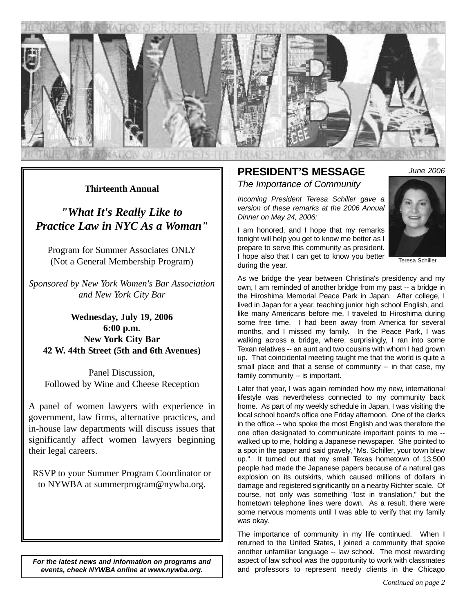

### **Thirteenth Annual**

*"What It's Really Like to Practice Law in NYC As a Woman"*

Program for Summer Associates ONLY (Not a General Membership Program)

*Sponsored by New York Women's Bar Association and New York City Bar*

**Wednesday, July 19, 2006 6:00 p.m. New York City Bar 42 W. 44th Street (5th and 6th Avenues)**

Panel Discussion, Followed by Wine and Cheese Reception

A panel of women lawyers with experience in government, law firms, alternative practices, and in-house law departments will discuss issues that significantly affect women lawyers beginning their legal careers.

RSVP to your Summer Program Coordinator or to NYWBA at summerprogram@nywba.org.

*For the latest news and information on programs and events, check NYWBA online at www.nywba.org.*

### **PRESIDENT'S MESSAGE** *The Importance of Community*

*Incoming President Teresa Schiller gave a version of these remarks at the 2006 Annual Dinner on May 24, 2006:*

I am honored, and I hope that my remarks tonight will help you get to know me better as I prepare to serve this community as president. I hope also that I can get to know you better during the year.



*June 2006*

Teresa Schiller

As we bridge the year between Christina's presidency and my own, I am reminded of another bridge from my past -- a bridge in the Hiroshima Memorial Peace Park in Japan. After college, I lived in Japan for a year, teaching junior high school English, and, like many Americans before me, I traveled to Hiroshima during some free time. I had been away from America for several months, and I missed my family. In the Peace Park, I was walking across a bridge, where, surprisingly, I ran into some Texan relatives -- an aunt and two cousins with whom I had grown up. That coincidental meeting taught me that the world is quite a small place and that a sense of community -- in that case, my family community -- is important.

Later that year, I was again reminded how my new, international lifestyle was nevertheless connected to my community back home. As part of my weekly schedule in Japan, I was visiting the local school board's office one Friday afternoon. One of the clerks in the office -- who spoke the most English and was therefore the one often designated to communicate important points to me - walked up to me, holding a Japanese newspaper. She pointed to a spot in the paper and said gravely, "Ms. Schiller, your town blew up." It turned out that my small Texas hometown of 13,500 people had made the Japanese papers because of a natural gas explosion on its outskirts, which caused millions of dollars in damage and registered significantly on a nearby Richter scale. Of course, not only was something "lost in translation," but the hometown telephone lines were down. As a result, there were some nervous moments until I was able to verify that my family was okay.

The importance of community in my life continued. When I returned to the United States, I joined a community that spoke another unfamiliar language -- law school. The most rewarding aspect of law school was the opportunity to work with classmates and professors to represent needy clients in the Chicago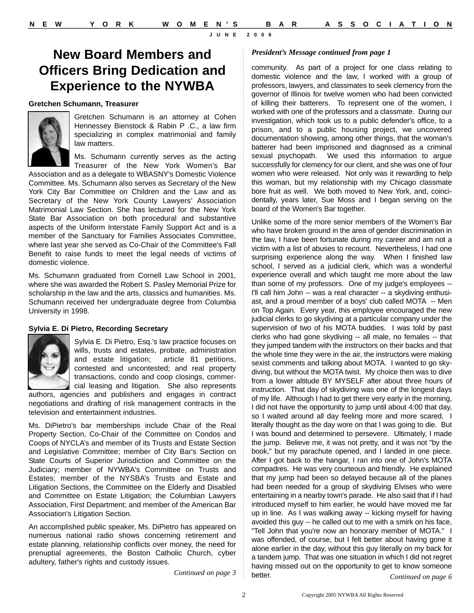## **New Board Members and Officers Bring Dedication and Experience to the NYWBA**

#### **Gretchen Schumann, Treasurer**



Gretchen Schumann is an attorney at Cohen Hennessey Bienstock & Rabin P .C., a law firm specializing in complex matrimonial and family law matters.

Ms. Schumann currently serves as the acting Treasurer of the New York Women's Bar

Association and as a delegate to WBASNY's Domestic Violence Committee. Ms. Schumann also serves as Secretary of the New York City Bar Committee on Children and the Law and as Secretary of the New York County Lawyers' Association Matrimonial Law Section. She has lectured for the New York State Bar Association on both procedural and substantive aspects of the Uniform Interstate Family Support Act and is a member of the Sanctuary for Families Associates Committee, where last year she served as Co-Chair of the Committee's Fall Benefit to raise funds to meet the legal needs of victims of domestic violence.

Ms. Schumann graduated from Cornell Law School in 2001, where she was awarded the Robert S. Pasley Memorial Prize for scholarship in the law and the arts, classics and humanities. Ms. Schumann received her undergraduate degree from Columbia University in 1998.

### **Sylvia E. Di Pietro, Recording Secretary**



Sylvia E. Di Pietro, Esq.'s law practice focuses on wills, trusts and estates, probate, administration and estate litigation; article 81 petitions, contested and uncontested; and real property transactions, condo and coop closings, commercial leasing and litigation. She also represents

authors, agencies and publishers and engages in contract negotiations and drafting of risk management contracts in the television and entertainment industries.

Ms. DiPietro's bar memberships include Chair of the Real Property Section, Co-Chair of the Committee on Condos and Coops of NYCLA's and member of its Trusts and Estate Section and Legislative Committee; member of City Bar's Section on State Courts of Superior Jurisdiction and Committee on the Judiciary; member of NYWBA's Committee on Trusts and Estates; member of the NYSBA's Trusts and Estate and Litigation Sections, the Committee on the Elderly and Disabled and Committee on Estate Litigation; the Columbian Lawyers Association, First Department; and member of the American Bar Association's Litigation Section.

An accomplished public speaker, Ms. DiPietro has appeared on numerous national radio shows concerning retirement and estate planning, relationship conflicts over money, the need for prenuptial agreements, the Boston Catholic Church, cyber adultery, father's rights and custody issues.

*Continued on page 3*

#### *President's Message continued from page 1*

community. As part of a project for one class relating to domestic violence and the law, I worked with a group of professors, lawyers, and classmates to seek clemency from the governor of Illinois for twelve women who had been convicted of killing their batterers. To represent one of the women, I worked with one of the professors and a classmate. During our investigation, which took us to a public defender's office, to a prison, and to a public housing project, we uncovered documentation showing, among other things, that the woman's batterer had been imprisoned and diagnosed as a criminal sexual psychopath. We used this information to argue successfully for clemency for our client, and she was one of four women who were released. Not only was it rewarding to help this woman, but my relationship with my Chicago classmate bore fruit as well. We both moved to New York, and, coincidentally, years later, Sue Moss and I began serving on the board of the Women's Bar together.

Unlike some of the more senior members of the Women's Bar who have broken ground in the area of gender discrimination in the law, I have been fortunate during my career and am not a victim with a list of abuses to recount. Nevertheless, I had one surprising experience along the way. When I finished law school, I served as a judicial clerk, which was a wonderful experience overall and which taught me more about the law than some of my professors. One of my judge's employees -- I'll call him John -- was a real character -- a skydiving enthusiast, and a proud member of a boys' club called MOTA -- Men on Top Again. Every year, this employee encouraged the new judicial clerks to go skydiving at a particular company under the supervision of two of his MOTA buddies. I was told by past clerks who had gone skydiving -- all male, no females -- that they jumped tandem with the instructors on their backs and that the whole time they were in the air, the instructors were making sexist comments and talking about MOTA. I wanted to go skydiving, but without the MOTA twist. My choice then was to dive from a lower altitude BY MYSELF after about three hours of instruction. That day of skydiving was one of the longest days of my life. Although I had to get there very early in the morning, I did not have the opportunity to jump until about 4:00 that day, so I waited around all day feeling more and more scared. I literally thought as the day wore on that I was going to die. But I was bound and determined to persevere. Ultimately, I made the jump. Believe me, it was not pretty, and it was not "by the book," but my parachute opened, and I landed in one piece. After I got back to the hangar, I ran into one of John's MOTA compadres. He was very courteous and friendly. He explained that my jump had been so delayed because all of the planes had been needed for a group of skydiving Elvises who were entertaining in a nearby town's parade. He also said that if I had introduced myself to him earlier, he would have moved me far up in line. As I was walking away -- kicking myself for having avoided this guy -- he called out to me with a smirk on his face, "Tell John that you're now an honorary member of MOTA." I was offended, of course, but I felt better about having gone it alone earlier in the day, without this guy literally on my back for a tandem jump. That was one situation in which I did not regret having missed out on the opportunity to get to know someone better. *Continued on page 6*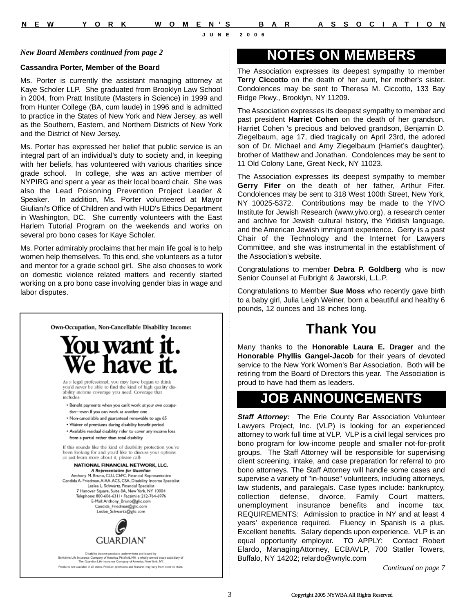#### *New Board Members continued from page 2*

### **Cassandra Porter, Member of the Board**

Ms. Porter is currently the assistant managing attorney at Kaye Scholer LLP. She graduated from Brooklyn Law School in 2004, from Pratt Institute (Masters in Science) in 1999 and from Hunter College (BA, cum laude) in 1996 and is admitted to practice in the States of New York and New Jersey, as well as the Southern, Eastern, and Northern Districts of New York and the District of New Jersey.

Ms. Porter has expressed her belief that public service is an integral part of an individual's duty to society and, in keeping with her beliefs, has volunteered with various charities since grade school. In college, she was an active member of NYPIRG and spent a year as their local board chair. She was also the Lead Poisoning Prevention Project Leader & Speaker. In addition, Ms. Porter volunteered at Mayor Giuliani's Office of Children and with HUD's Ethics Department in Washington, DC. She currently volunteers with the East Harlem Tutorial Program on the weekends and works on several pro bono cases for Kaye Scholer.

Ms. Porter admirably proclaims that her main life goal is to help women help themselves. To this end, she volunteers as a tutor and mentor for a grade school girl. She also chooses to work on domestic violence related matters and recently started working on a pro bono case involving gender bias in wage and labor disputes.



### **NOTES ON MEMBERS**

The Association expresses its deepest sympathy to member **Terry Ciccotto** on the death of her aunt, her mother's sister. Condolences may be sent to Theresa M. Ciccotto, 133 Bay Ridge Pkwy., Brooklyn, NY 11209.

The Association expresses its deepest sympathy to member and past president **Harriet Cohen** on the death of her grandson. Harriet Cohen 's precious and beloved grandson, Benjamin D. Ziegelbaum, age 17, died tragically on April 23rd, the adored son of Dr. Michael and Amy Ziegelbaum (Harriet's daughter), brother of Matthew and Jonathan. Condolences may be sent to 11 Old Colony Lane, Great Neck, NY 11023.

The Association expresses its deepest sympathy to member **Gerry Fifer** on the death of her father, Arthur Fifer. Condolences may be sent to 318 West 100th Street, New York, NY 10025-5372. Contributions may be made to the YIVO Institute for Jewish Research (www.yivo.org), a research center and archive for Jewish cultural history, the Yiddish language, and the American Jewish immigrant experience. Gerry is a past Chair of the Technology and the Internet for Lawyers Committee, and she was instrumental in the establishment of the Association's website.

Congratulations to member **Debra P. Goldberg** who is now Senior Counsel at Fulbright & Jaworski, L.L.P.

Congratulations to Member **Sue Moss** who recently gave birth to a baby girl, Julia Leigh Weiner, born a beautiful and healthy 6 pounds, 12 ounces and 18 inches long.

# **Thank You**

Many thanks to the **Honorable Laura E. Drager** and the **Honorable Phyllis Gangel-Jacob** for their years of devoted service to the New York Women's Bar Association. Both will be retiring from the Board of Directors this year. The Association is proud to have had them as leaders.

## **JOB ANNOUNCEMENTS**

*Staff Attorney:* The Erie County Bar Association Volunteer Lawyers Project, Inc. (VLP) is looking for an experienced attorney to work full time at VLP. VLP is a civil legal services pro bono program for low-income people and smaller not-for-profit groups. The Staff Attorney will be responsible for supervising client screening, intake, and case preparation for referral to pro bono attorneys. The Staff Attorney will handle some cases and supervise a variety of "in-house" volunteers, including attorneys, law students, and paralegals. Case types include: bankruptcy, collection defense, divorce, Family Court matters, unemployment insurance benefits and income tax. REQUIREMENTS: Admission to practice in NY and at least 4 years' experience required. Fluency in Spanish is a plus. Excellent benefits. Salary depends upon experience. VLP is an equal opportunity employer. TO APPLY: Contact Robert Elardo, ManagingAttorney, ECBAVLP, 700 Statler Towers, Buffalo, NY 14202; relardo@wnylc.com

*Continued on page 7*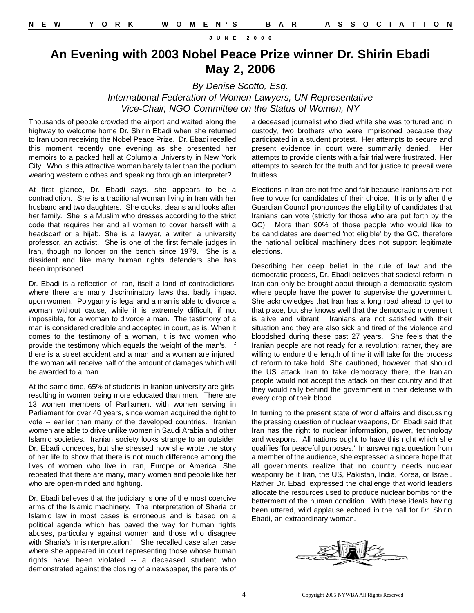### **An Evening with 2003 Nobel Peace Prize winner Dr. Shirin Ebadi May 2, 2006**

*By Denise Scotto, Esq.*

*International Federation of Women Lawyers, UN Representative Vice-Chair, NGO Committee on the Status of Women, NY*

Thousands of people crowded the airport and waited along the highway to welcome home Dr. Shirin Ebadi when she returned to Iran upon receiving the Nobel Peace Prize. Dr. Ebadi recalled this moment recently one evening as she presented her memoirs to a packed hall at Columbia University in New York City. Who is this attractive woman barely taller than the podium wearing western clothes and speaking through an interpreter?

At first glance, Dr. Ebadi says, she appears to be a contradiction. She is a traditional woman living in Iran with her husband and two daughters. She cooks, cleans and looks after her family. She is a Muslim who dresses according to the strict code that requires her and all women to cover herself with a headscarf or a hijab. She is a lawyer, a writer, a university professor, an activist. She is one of the first female judges in Iran, though no longer on the bench since 1979. She is a dissident and like many human rights defenders she has been imprisoned.

Dr. Ebadi is a reflection of Iran, itself a land of contradictions, where there are many discriminatory laws that badly impact upon women. Polygamy is legal and a man is able to divorce a woman without cause, while it is extremely difficult, if not impossible, for a woman to divorce a man. The testimony of a man is considered credible and accepted in court, as is. When it comes to the testimony of a woman, it is two women who provide the testimony which equals the weight of the man's. If there is a street accident and a man and a woman are injured, the woman will receive half of the amount of damages which will be awarded to a man.

At the same time, 65% of students in Iranian university are girls, resulting in women being more educated than men. There are 13 women members of Parliament with women serving in Parliament for over 40 years, since women acquired the right to vote -- earlier than many of the developed countries. Iranian women are able to drive unlike women in Saudi Arabia and other Islamic societies. Iranian society looks strange to an outsider, Dr. Ebadi concedes, but she stressed how she wrote the story of her life to show that there is not much difference among the lives of women who live in Iran, Europe or America. She repeated that there are many, many women and people like her who are open-minded and fighting.

Dr. Ebadi believes that the judiciary is one of the most coercive arms of the Islamic machinery. The interpretation of Sharia or Islamic law in most cases is erroneous and is based on a political agenda which has paved the way for human rights abuses, particularly against women and those who disagree with Sharia's 'misinterpretation.' She recalled case after case where she appeared in court representing those whose human rights have been violated -- a deceased student who demonstrated against the closing of a newspaper, the parents of

a deceased journalist who died while she was tortured and in custody, two brothers who were imprisoned because they participated in a student protest. Her attempts to secure and present evidence in court were summarily denied. Her attempts to provide clients with a fair trial were frustrated. Her attempts to search for the truth and for justice to prevail were fruitless.

Elections in Iran are not free and fair because Iranians are not free to vote for candidates of their choice. It is only after the Guardian Council pronounces the eligibility of candidates that Iranians can vote (strictly for those who are put forth by the GC). More than 90% of those people who would like to be candidates are deemed 'not eligible' by the GC, therefore the national political machinery does not support legitimate elections.

Describing her deep belief in the rule of law and the democratic process, Dr. Ebadi believes that societal reform in Iran can only be brought about through a democratic system where people have the power to supervise the government. She acknowledges that Iran has a long road ahead to get to that place, but she knows well that the democratic movement is alive and vibrant. Iranians are not satisfied with their situation and they are also sick and tired of the violence and bloodshed during these past 27 years. She feels that the Iranian people are not ready for a revolution; rather, they are willing to endure the length of time it will take for the process of reform to take hold. She cautioned, however, that should the US attack Iran to take democracy there, the Iranian people would not accept the attack on their country and that they would rally behind the government in their defense with every drop of their blood.

In turning to the present state of world affairs and discussing the pressing question of nuclear weapons, Dr. Ebadi said that Iran has the right to nuclear information, power, technology and weapons. All nations ought to have this right which she qualifies 'for peaceful purposes.' In answering a question from a member of the audience, she expressed a sincere hope that all governments realize that no country needs nuclear weaponry be it Iran, the US, Pakistan, India, Korea, or Israel. Rather Dr. Ebadi expressed the challenge that world leaders allocate the resources used to produce nuclear bombs for the betterment of the human condition. With these ideals having been uttered, wild applause echoed in the hall for Dr. Shirin Ebadi, an extraordinary woman.

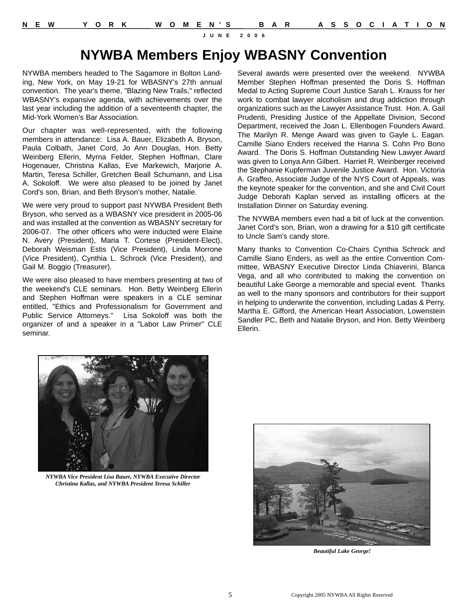# **NYWBA Members Enjoy WBASNY Convention**

NYWBA members headed to The Sagamore in Bolton Landing, New York, on May 19-21 for WBASNY's 27th annual convention. The year's theme, "Blazing New Trails," reflected WBASNY's expansive agenda, with achievements over the last year including the addition of a seventeenth chapter, the Mid-York Women's Bar Association.

Our chapter was well-represented, with the following members in attendance: Lisa A. Bauer, Elizabeth A. Bryson, Paula Colbath, Janet Cord, Jo Ann Douglas, Hon. Betty Weinberg Ellerin, Myrna Felder, Stephen Hoffman, Clare Hogenauer, Christina Kallas, Eve Markewich, Marjorie A. Martin, Teresa Schiller, Gretchen Beall Schumann, and Lisa A. Sokoloff. We were also pleased to be joined by Janet Cord's son, Brian, and Beth Bryson's mother, Natalie.

We were very proud to support past NYWBA President Beth Bryson, who served as a WBASNY vice president in 2005-06 and was installed at the convention as WBASNY secretary for 2006-07. The other officers who were inducted were Elaine N. Avery (President), Maria T. Cortese (President-Elect), Deborah Weisman Estis (Vice President), Linda Morrone (Vice President), Cynthia L. Schrock (Vice President), and Gail M. Boggio (Treasurer).

We were also pleased to have members presenting at two of the weekend's CLE seminars. Hon. Betty Weinberg Ellerin and Stephen Hoffman were speakers in a CLE seminar entitled, "Ethics and Professionalism for Government and Public Service Attorneys." Lisa Sokoloff was both the organizer of and a speaker in a "Labor Law Primer" CLE seminar.

Several awards were presented over the weekend. NYWBA Member Stephen Hoffman presented the Doris S. Hoffman Medal to Acting Supreme Court Justice Sarah L. Krauss for her work to combat lawyer alcoholism and drug addiction through organizations such as the Lawyer Assistance Trust. Hon. A. Gail Prudenti, Presiding Justice of the Appellate Division, Second Department, received the Joan L. Ellenbogen Founders Award. The Marilyn R. Menge Award was given to Gayle L. Eagan. Camille Siano Enders received the Hanna S. Cohn Pro Bono Award. The Doris S. Hoffman Outstanding New Lawyer Award was given to Lonya Ann Gilbert. Harriet R. Weinberger received the Stephanie Kupferman Juvenile Justice Award. Hon. Victoria A. Graffeo, Associate Judge of the NYS Court of Appeals, was the keynote speaker for the convention, and she and Civil Court Judge Deborah Kaplan served as installing officers at the Installation Dinner on Saturday evening.

The NYWBA members even had a bit of luck at the convention. Janet Cord's son, Brian, won a drawing for a \$10 gift certificate to Uncle Sam's candy store.

Many thanks to Convention Co-Chairs Cynthia Schrock and Camille Siano Enders, as well as the entire Convention Committee, WBASNY Executive Director Linda Chiaverini, Blanca Vega, and all who contributed to making the convention on beautiful Lake George a memorable and special event. Thanks as well to the many sponsors and contributors for their support in helping to underwrite the convention, including Ladas & Perry, Martha E. Gifford, the American Heart Association, Lowenstein Sandler PC, Beth and Natalie Bryson, and Hon. Betty Weinberg Ellerin.



*NYWBA Vice President Lisa Bauer, NYWBA Executive Director Christina Kallas, and NYWBA President Teresa Schiller*



*Beautiful Lake George!*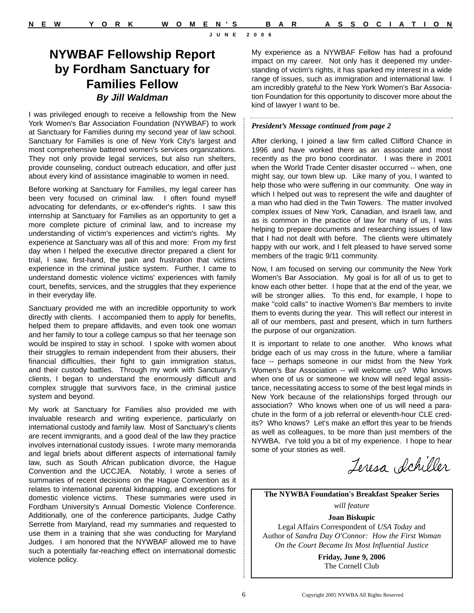## **NYWBAF Fellowship Report by Fordham Sanctuary for Families Fellow** *By Jill Waldman*

I was privileged enough to receive a fellowship from the New York Women's Bar Association Foundation (NYWBAF) to work at Sanctuary for Families during my second year of law school. Sanctuary for Families is one of New York City's largest and most comprehensive battered women's services organizations. They not only provide legal services, but also run shelters, provide counseling, conduct outreach education, and offer just about every kind of assistance imaginable to women in need.

Before working at Sanctuary for Families, my legal career has been very focused on criminal law. I often found myself advocating for defendants, or ex-offender's rights. I saw this internship at Sanctuary for Families as an opportunity to get a more complete picture of criminal law, and to increase my understanding of victim's experiences and victim's rights. My experience at Sanctuary was all of this and more: From my first day when I helped the executive director prepared a client for trial, I saw, first-hand, the pain and frustration that victims experience in the criminal justice system. Further, I came to understand domestic violence victims' experiences with family court, benefits, services, and the struggles that they experience in their everyday life.

Sanctuary provided me with an incredible opportunity to work directly with clients. I accompanied them to apply for benefits, helped them to prepare affidavits, and even took one woman and her family to tour a college campus so that her teenage son would be inspired to stay in school. I spoke with women about their struggles to remain independent from their abusers, their financial difficulties, their fight to gain immigration status, and their custody battles. Through my work with Sanctuary's clients, I began to understand the enormously difficult and complex struggle that survivors face, in the criminal justice system and beyond.

My work at Sanctuary for Families also provided me with invaluable research and writing experience, particularly on international custody and family law. Most of Sanctuary's clients are recent immigrants, and a good deal of the law they practice involves international custody issues. I wrote many memoranda and legal briefs about different aspects of international family law, such as South African publication divorce, the Hague Convention and the UCCJEA. Notably, I wrote a series of summaries of recent decisions on the Hague Convention as it relates to international parental kidnapping, and exceptions for domestic violence victims. These summaries were used in Fordham University's Annual Domestic Violence Conference. Additionally, one of the conference participants, Judge Cathy Serrette from Maryland, read my summaries and requested to use them in a training that she was conducting for Maryland Judges. I am honored that the NYWBAF allowed me to have such a potentially far-reaching effect on international domestic violence policy.

My experience as a NYWBAF Fellow has had a profound impact on my career. Not only has it deepened my understanding of victim's rights, it has sparked my interest in a wide range of issues, such as immigration and international law. I am incredibly grateful to the New York Women's Bar Association Foundation for this opportunity to discover more about the kind of lawyer I want to be.

### *President's Message continued from page 2*

After clerking, I joined a law firm called Clifford Chance in 1996 and have worked there as an associate and most recently as the pro bono coordinator. I was there in 2001 when the World Trade Center disaster occurred -- when, one might say, our town blew up. Like many of you, I wanted to help those who were suffering in our community. One way in which I helped out was to represent the wife and daughter of a man who had died in the Twin Towers. The matter involved complex issues of New York, Canadian, and Israeli law, and as is common in the practice of law for many of us, I was helping to prepare documents and researching issues of law that I had not dealt with before. The clients were ultimately happy with our work, and I felt pleased to have served some members of the tragic 9/11 community.

Now, I am focused on serving our community the New York Women's Bar Association. My goal is for all of us to get to know each other better. I hope that at the end of the year, we will be stronger allies. To this end, for example, I hope to make "cold calls" to inactive Women's Bar members to invite them to events during the year. This will reflect our interest in all of our members, past and present, which in turn furthers the purpose of our organization.

It is important to relate to one another. Who knows what bridge each of us may cross in the future, where a familiar face -- perhaps someone in our midst from the New York Women's Bar Association -- will welcome us? Who knows when one of us or someone we know will need legal assistance, necessitating access to some of the best legal minds in New York because of the relationships forged through our association? Who knows when one of us will need a parachute in the form of a job referral or eleventh-hour CLE credits? Who knows? Let's make an effort this year to be friends as well as colleagues, to be more than just members of the NYWBA. I've told you a bit of my experience. I hope to hear some of your stories as well.

Jeresa Schiller

**The NYWBA Foundation's Breakfast Speaker Series**

*will feature*

**Joan Biskupic** Legal Affairs Correspondent of *USA Today* and Author of *Sandra Day O'Connor: How the First Woman On the Court Became Its Most Influential Justice*

> **Friday, June 9, 2006** The Cornell Club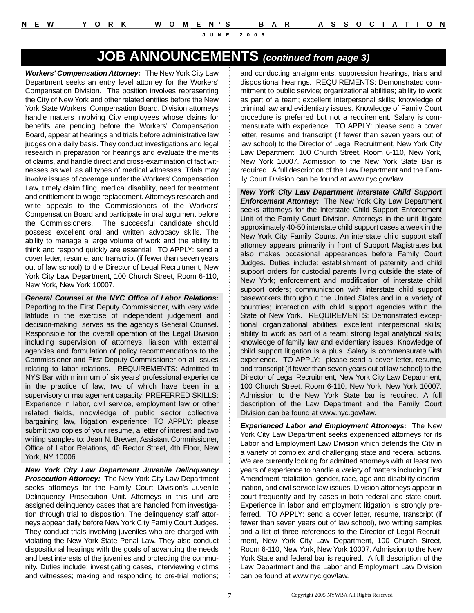## **JOB ANNOUNCEMENTS** *(continued from page 3)*

*Workers' Compensation Attorney:* The New York City Law Department seeks an entry level attorney for the Workers' Compensation Division. The position involves representing the City of New York and other related entities before the New York State Workers' Compensation Board. Division attorneys handle matters involving City employees whose claims for benefits are pending before the Workers' Compensation Board, appear at hearings and trials before administrative law judges on a daily basis. They conduct investigations and legal research in preparation for hearings and evaluate the merits of claims, and handle direct and cross-examination of fact witnesses as well as all types of medical witnesses. Trials may involve issues of coverage under the Workers' Compensation Law, timely claim filing, medical disability, need for treatment and entitlement to wage replacement. Attorneys research and write appeals to the Commissioners of the Workers' Compensation Board and participate in oral argument before the Commissioners. The successful candidate should possess excellent oral and written advocacy skills. The ability to manage a large volume of work and the ability to think and respond quickly are essential. TO APPLY: send a cover letter, resume, and transcript (if fewer than seven years out of law school) to the Director of Legal Recruitment, New York City Law Department, 100 Church Street, Room 6-110, New York, New York 10007.

*General Counsel at the NYC Office of Labor Relations:* Reporting to the First Deputy Commissioner, with very wide latitude in the exercise of independent judgement and decision-making, serves as the agency's General Counsel. Responsible for the overall operation of the Legal Division including supervision of attorneys, liaison with external agencies and formulation of policy recommendations to the Commissioner and First Deputy Commissioner on all issues relating to labor relations. REQUIREMENTS: Admitted to NYS Bar with minimum of six years' professional experience in the practice of law, two of which have been in a supervisory or management capacity; PREFERRED SKILLS: Experience in labor, civil service, employment law or other related fields, nnowledge of public sector collective bargaining law, litigation experience; TO APPLY: please submit two copies of your resume, a letter of interest and two writing samples to: Jean N. Brewer, Assistant Commissioner, Office of Labor Relations, 40 Rector Street, 4th Floor, New York, NY 10006.

*New York City Law Department Juvenile Delinquency Prosecution Attorney:* The New York City Law Department seeks attorneys for the Family Court Division's Juvenile Delinquency Prosecution Unit. Attorneys in this unit are assigned delinquency cases that are handled from investigation through trial to disposition. The delinquency staff attorneys appear daily before New York City Family Court Judges. They conduct trials involving juveniles who are charged with violating the New York State Penal Law. They also conduct dispositional hearings with the goals of advancing the needs and best interests of the juveniles and protecting the community. Duties include: investigating cases, interviewing victims and witnesses; making and responding to pre-trial motions;

and conducting arraignments, suppression hearings, trials and dispositional hearings. REQUIREMENTS: Demonstrated commitment to public service; organizational abilities; ability to work as part of a team; excellent interpersonal skills; knowledge of criminal law and evidentiary issues. Knowledge of Family Court procedure is preferred but not a requirement. Salary is commensurate with experience. TO APPLY: please send a cover letter, resume and transcript (if fewer than seven years out of law school) to the Director of Legal Recruitment, New York City Law Department, 100 Church Street, Room 6-110, New York, New York 10007. Admission to the New York State Bar is required. A full description of the Law Department and the Family Court Division can be found at www.nyc.gov/law.

*New York City Law Department Interstate Child Support Enforcement Attorney:* The New York City Law Department seeks attorneys for the Interstate Child Support Enforcement Unit of the Family Court Division. Attorneys in the unit litigate approximately 40-50 interstate child support cases a week in the New York City Family Courts. An interstate child support staff attorney appears primarily in front of Support Magistrates but also makes occasional appearances before Family Court Judges. Duties include: establishment of paternity and child support orders for custodial parents living outside the state of New York; enforcement and modification of interstate child support orders; communication with interstate child support caseworkers throughout the United States and in a variety of countries; interaction with child support agencies within the State of New York. REQUIREMENTS: Demonstrated exceptional organizational abilities; excellent interpersonal skills; ability to work as part of a team; strong legal analytical skills; knowledge of family law and evidentiary issues. Knowledge of child support litigation is a plus. Salary is commensurate with experience. TO APPLY: please send a cover letter, resume, and transcript (if fewer than seven years out of law school) to the Director of Legal Recruitment, New York City Law Department, 100 Church Street, Room 6-110, New York, New York 10007. Admission to the New York State bar is required. A full description of the Law Department and the Family Court Division can be found at www.nyc.gov/law.

*Experienced Labor and Employment Attorneys:* The New York City Law Department seeks experienced attorneys for its Labor and Employment Law Division which defends the City in a variety of complex and challenging state and federal actions. We are currently looking for admitted attorneys with at least two years of experience to handle a variety of matters including First Amendment retaliation, gender, race, age and disability discrimination, and civil service law issues. Division attorneys appear in court frequently and try cases in both federal and state court. Experience in labor and employment litigation is strongly preferred. TO APPLY: send a cover letter, resume, transcript (if fewer than seven years out of law school), two writing samples and a list of three references to the Director of Legal Recruitment, New York City Law Department, 100 Church Street, Room 6-110, New York, New York 10007. Admission to the New York State and federal bar is required. A full description of the Law Department and the Labor and Employment Law Division can be found at www.nyc.gov/law.